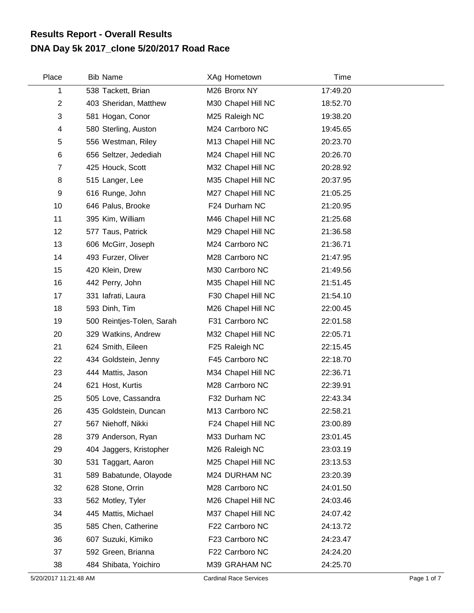## **DNA Day 5k 2017\_clone 5/20/2017 Road Race Results Report - Overall Results**

| Place            | <b>Bib Name</b>           | XAg Hometown       | Time     |  |
|------------------|---------------------------|--------------------|----------|--|
| 1                | 538 Tackett, Brian        | M26 Bronx NY       | 17:49.20 |  |
| $\boldsymbol{2}$ | 403 Sheridan, Matthew     | M30 Chapel Hill NC | 18:52.70 |  |
| 3                | 581 Hogan, Conor          | M25 Raleigh NC     | 19:38.20 |  |
| 4                | 580 Sterling, Auston      | M24 Carrboro NC    | 19:45.65 |  |
| 5                | 556 Westman, Riley        | M13 Chapel Hill NC | 20:23.70 |  |
| 6                | 656 Seltzer, Jedediah     | M24 Chapel Hill NC | 20:26.70 |  |
| $\overline{7}$   | 425 Houck, Scott          | M32 Chapel Hill NC | 20:28.92 |  |
| 8                | 515 Langer, Lee           | M35 Chapel Hill NC | 20:37.95 |  |
| 9                | 616 Runge, John           | M27 Chapel Hill NC | 21:05.25 |  |
| 10               | 646 Palus, Brooke         | F24 Durham NC      | 21:20.95 |  |
| 11               | 395 Kim, William          | M46 Chapel Hill NC | 21:25.68 |  |
| 12               | 577 Taus, Patrick         | M29 Chapel Hill NC | 21:36.58 |  |
| 13               | 606 McGirr, Joseph        | M24 Carrboro NC    | 21:36.71 |  |
| 14               | 493 Furzer, Oliver        | M28 Carrboro NC    | 21:47.95 |  |
| 15               | 420 Klein, Drew           | M30 Carrboro NC    | 21:49.56 |  |
| 16               | 442 Perry, John           | M35 Chapel Hill NC | 21:51.45 |  |
| 17               | 331 lafrati, Laura        | F30 Chapel Hill NC | 21:54.10 |  |
| 18               | 593 Dinh, Tim             | M26 Chapel Hill NC | 22:00.45 |  |
| 19               | 500 Reintjes-Tolen, Sarah | F31 Carrboro NC    | 22:01.58 |  |
| 20               | 329 Watkins, Andrew       | M32 Chapel Hill NC | 22:05.71 |  |
| 21               | 624 Smith, Eileen         | F25 Raleigh NC     | 22:15.45 |  |
| 22               | 434 Goldstein, Jenny      | F45 Carrboro NC    | 22:18.70 |  |
| 23               | 444 Mattis, Jason         | M34 Chapel Hill NC | 22:36.71 |  |
| 24               | 621 Host, Kurtis          | M28 Carrboro NC    | 22:39.91 |  |
| 25               | 505 Love, Cassandra       | F32 Durham NC      | 22:43.34 |  |
| 26               | 435 Goldstein, Duncan     | M13 Carrboro NC    | 22:58.21 |  |
| 27               | 567 Niehoff, Nikki        | F24 Chapel Hill NC | 23:00.89 |  |
| 28               | 379 Anderson, Ryan        | M33 Durham NC      | 23:01.45 |  |
| 29               | 404 Jaggers, Kristopher   | M26 Raleigh NC     | 23:03.19 |  |
| 30               | 531 Taggart, Aaron        | M25 Chapel Hill NC | 23:13.53 |  |
| 31               | 589 Babatunde, Olayode    | M24 DURHAM NC      | 23:20.39 |  |
| 32               | 628 Stone, Orrin          | M28 Carrboro NC    | 24:01.50 |  |
| 33               | 562 Motley, Tyler         | M26 Chapel Hill NC | 24:03.46 |  |
| 34               | 445 Mattis, Michael       | M37 Chapel Hill NC | 24:07.42 |  |
| 35               | 585 Chen, Catherine       | F22 Carrboro NC    | 24:13.72 |  |
| 36               | 607 Suzuki, Kimiko        | F23 Carrboro NC    | 24:23.47 |  |
| 37               | 592 Green, Brianna        | F22 Carrboro NC    | 24:24.20 |  |
| 38               | 484 Shibata, Yoichiro     | M39 GRAHAM NC      | 24:25.70 |  |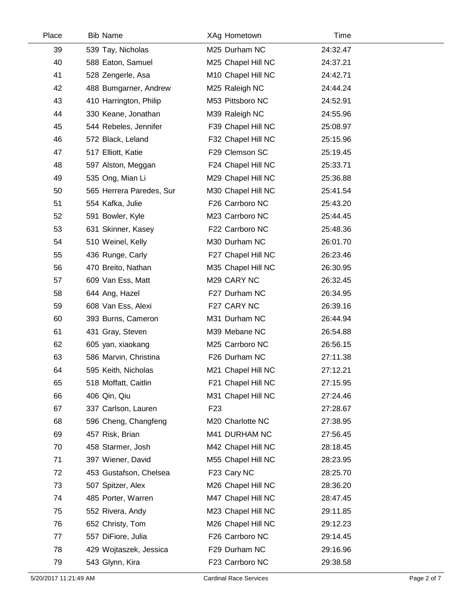| Place | <b>Bib Name</b>          | XAg Hometown       | Time     |  |
|-------|--------------------------|--------------------|----------|--|
| 39    | 539 Tay, Nicholas        | M25 Durham NC      | 24:32.47 |  |
| 40    | 588 Eaton, Samuel        | M25 Chapel Hill NC | 24:37.21 |  |
| 41    | 528 Zengerle, Asa        | M10 Chapel Hill NC | 24:42.71 |  |
| 42    | 488 Bumgarner, Andrew    | M25 Raleigh NC     | 24:44.24 |  |
| 43    | 410 Harrington, Philip   | M53 Pittsboro NC   | 24:52.91 |  |
| 44    | 330 Keane, Jonathan      | M39 Raleigh NC     | 24:55.96 |  |
| 45    | 544 Rebeles, Jennifer    | F39 Chapel Hill NC | 25:08.97 |  |
| 46    | 572 Black, Leland        | F32 Chapel Hill NC | 25:15.96 |  |
| 47    | 517 Elliott, Katie       | F29 Clemson SC     | 25:19.45 |  |
| 48    | 597 Alston, Meggan       | F24 Chapel Hill NC | 25:33.71 |  |
| 49    | 535 Ong, Mian Li         | M29 Chapel Hill NC | 25:36.88 |  |
| 50    | 565 Herrera Paredes, Sur | M30 Chapel Hill NC | 25:41.54 |  |
| 51    | 554 Kafka, Julie         | F26 Carrboro NC    | 25:43.20 |  |
| 52    | 591 Bowler, Kyle         | M23 Carrboro NC    | 25:44.45 |  |
| 53    | 631 Skinner, Kasey       | F22 Carrboro NC    | 25:48.36 |  |
| 54    | 510 Weinel, Kelly        | M30 Durham NC      | 26:01.70 |  |
| 55    | 436 Runge, Carly         | F27 Chapel Hill NC | 26:23.46 |  |
| 56    | 470 Breito, Nathan       | M35 Chapel Hill NC | 26:30.95 |  |
| 57    | 609 Van Ess, Matt        | M29 CARY NC        | 26:32.45 |  |
| 58    | 644 Ang, Hazel           | F27 Durham NC      | 26:34.95 |  |
| 59    | 608 Van Ess, Alexi       | F27 CARY NC        | 26:39.16 |  |
| 60    | 393 Burns, Cameron       | M31 Durham NC      | 26:44.94 |  |
| 61    | 431 Gray, Steven         | M39 Mebane NC      | 26:54.88 |  |
| 62    | 605 yan, xiaokang        | M25 Carrboro NC    | 26:56.15 |  |
| 63    | 586 Marvin, Christina    | F26 Durham NC      | 27:11.38 |  |
| 64    | 595 Keith, Nicholas      | M21 Chapel Hill NC | 27:12.21 |  |
| 65    | 518 Moffatt, Caitlin     | F21 Chapel Hill NC | 27:15.95 |  |
| 66    | 406 Qin, Qiu             | M31 Chapel Hill NC | 27:24.46 |  |
| 67    | 337 Carlson, Lauren      | F <sub>23</sub>    | 27:28.67 |  |
| 68    | 596 Cheng, Changfeng     | M20 Charlotte NC   | 27:38.95 |  |
| 69    | 457 Risk, Brian          | M41 DURHAM NC      | 27:56.45 |  |
| 70    | 458 Starmer, Josh        | M42 Chapel Hill NC | 28:18.45 |  |
| 71    | 397 Wiener, David        | M55 Chapel Hill NC | 28:23.95 |  |
| 72    | 453 Gustafson, Chelsea   | F23 Cary NC        | 28:25.70 |  |
| 73    | 507 Spitzer, Alex        | M26 Chapel Hill NC | 28:36.20 |  |
| 74    | 485 Porter, Warren       | M47 Chapel Hill NC | 28:47.45 |  |
| 75    | 552 Rivera, Andy         | M23 Chapel Hill NC | 29:11.85 |  |
| 76    | 652 Christy, Tom         | M26 Chapel Hill NC | 29:12.23 |  |
| 77    | 557 DiFiore, Julia       | F26 Carrboro NC    | 29:14.45 |  |
| 78    | 429 Wojtaszek, Jessica   | F29 Durham NC      | 29:16.96 |  |
| 79    | 543 Glynn, Kira          | F23 Carrboro NC    | 29:38.58 |  |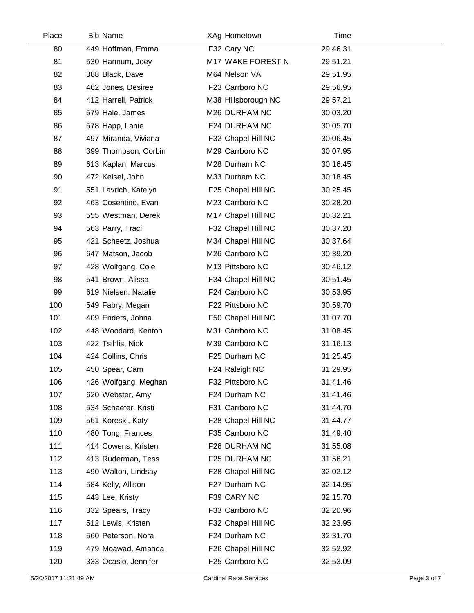| Place | <b>Bib Name</b>      | XAg Hometown        | Time     |  |
|-------|----------------------|---------------------|----------|--|
| 80    | 449 Hoffman, Emma    | F32 Cary NC         | 29:46.31 |  |
| 81    | 530 Hannum, Joey     | M17 WAKE FOREST N   | 29:51.21 |  |
| 82    | 388 Black, Dave      | M64 Nelson VA       | 29:51.95 |  |
| 83    | 462 Jones, Desiree   | F23 Carrboro NC     | 29:56.95 |  |
| 84    | 412 Harrell, Patrick | M38 Hillsborough NC | 29:57.21 |  |
| 85    | 579 Hale, James      | M26 DURHAM NC       | 30:03.20 |  |
| 86    | 578 Happ, Lanie      | F24 DURHAM NC       | 30:05.70 |  |
| 87    | 497 Miranda, Viviana | F32 Chapel Hill NC  | 30:06.45 |  |
| 88    | 399 Thompson, Corbin | M29 Carrboro NC     | 30:07.95 |  |
| 89    | 613 Kaplan, Marcus   | M28 Durham NC       | 30:16.45 |  |
| 90    | 472 Keisel, John     | M33 Durham NC       | 30:18.45 |  |
| 91    | 551 Lavrich, Katelyn | F25 Chapel Hill NC  | 30:25.45 |  |
| 92    | 463 Cosentino, Evan  | M23 Carrboro NC     | 30:28.20 |  |
| 93    | 555 Westman, Derek   | M17 Chapel Hill NC  | 30:32.21 |  |
| 94    | 563 Parry, Traci     | F32 Chapel Hill NC  | 30:37.20 |  |
| 95    | 421 Scheetz, Joshua  | M34 Chapel Hill NC  | 30:37.64 |  |
| 96    | 647 Matson, Jacob    | M26 Carrboro NC     | 30:39.20 |  |
| 97    | 428 Wolfgang, Cole   | M13 Pittsboro NC    | 30:46.12 |  |
| 98    | 541 Brown, Alissa    | F34 Chapel Hill NC  | 30:51.45 |  |
| 99    | 619 Nielsen, Natalie | F24 Carrboro NC     | 30:53.95 |  |
| 100   | 549 Fabry, Megan     | F22 Pittsboro NC    | 30:59.70 |  |
| 101   | 409 Enders, Johna    | F50 Chapel Hill NC  | 31:07.70 |  |
| 102   | 448 Woodard, Kenton  | M31 Carrboro NC     | 31:08.45 |  |
| 103   | 422 Tsihlis, Nick    | M39 Carrboro NC     | 31:16.13 |  |
| 104   | 424 Collins, Chris   | F25 Durham NC       | 31:25.45 |  |
| 105   | 450 Spear, Cam       | F24 Raleigh NC      | 31:29.95 |  |
| 106   | 426 Wolfgang, Meghan | F32 Pittsboro NC    | 31:41.46 |  |
| 107   | 620 Webster, Amy     | F24 Durham NC       | 31:41.46 |  |
| 108   | 534 Schaefer, Kristi | F31 Carrboro NC     | 31:44.70 |  |
| 109   | 561 Koreski, Katy    | F28 Chapel Hill NC  | 31:44.77 |  |
| 110   | 480 Tong, Frances    | F35 Carrboro NC     | 31:49.40 |  |
| 111   | 414 Cowens, Kristen  | F26 DURHAM NC       | 31:55.08 |  |
| 112   | 413 Ruderman, Tess   | F25 DURHAM NC       | 31:56.21 |  |
| 113   | 490 Walton, Lindsay  | F28 Chapel Hill NC  | 32:02.12 |  |
| 114   | 584 Kelly, Allison   | F27 Durham NC       | 32:14.95 |  |
| 115   | 443 Lee, Kristy      | F39 CARY NC         | 32:15.70 |  |
| 116   | 332 Spears, Tracy    | F33 Carrboro NC     | 32:20.96 |  |
| 117   | 512 Lewis, Kristen   | F32 Chapel Hill NC  | 32:23.95 |  |
| 118   | 560 Peterson, Nora   | F24 Durham NC       | 32:31.70 |  |
| 119   | 479 Moawad, Amanda   | F26 Chapel Hill NC  | 32:52.92 |  |
| 120   | 333 Ocasio, Jennifer | F25 Carrboro NC     | 32:53.09 |  |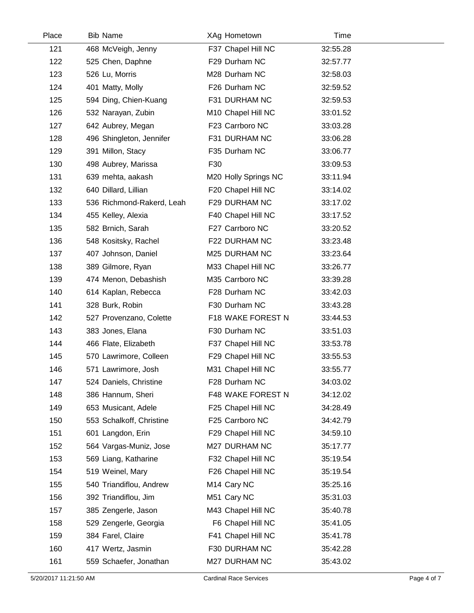| Place | <b>Bib Name</b>           | XAg Hometown            | Time     |  |
|-------|---------------------------|-------------------------|----------|--|
| 121   | 468 McVeigh, Jenny        | F37 Chapel Hill NC      | 32:55.28 |  |
| 122   | 525 Chen, Daphne          | F29 Durham NC           | 32:57.77 |  |
| 123   | 526 Lu, Morris            | M28 Durham NC           | 32:58.03 |  |
| 124   | 401 Matty, Molly          | F26 Durham NC           | 32:59.52 |  |
| 125   | 594 Ding, Chien-Kuang     | F31 DURHAM NC           | 32:59.53 |  |
| 126   | 532 Narayan, Zubin        | M10 Chapel Hill NC      | 33:01.52 |  |
| 127   | 642 Aubrey, Megan         | F23 Carrboro NC         | 33:03.28 |  |
| 128   | 496 Shingleton, Jennifer  | F31 DURHAM NC           | 33:06.28 |  |
| 129   | 391 Millon, Stacy         | F35 Durham NC           | 33:06.77 |  |
| 130   | 498 Aubrey, Marissa       | F30                     | 33:09.53 |  |
| 131   | 639 mehta, aakash         | M20 Holly Springs NC    | 33:11.94 |  |
| 132   | 640 Dillard, Lillian      | F20 Chapel Hill NC      | 33:14.02 |  |
| 133   | 536 Richmond-Rakerd, Leah | F29 DURHAM NC           | 33:17.02 |  |
| 134   | 455 Kelley, Alexia        | F40 Chapel Hill NC      | 33:17.52 |  |
| 135   | 582 Brnich, Sarah         | F27 Carrboro NC         | 33:20.52 |  |
| 136   | 548 Kositsky, Rachel      | F22 DURHAM NC           | 33:23.48 |  |
| 137   | 407 Johnson, Daniel       | M25 DURHAM NC           | 33:23.64 |  |
| 138   | 389 Gilmore, Ryan         | M33 Chapel Hill NC      | 33:26.77 |  |
| 139   | 474 Menon, Debashish      | M35 Carrboro NC         | 33:39.28 |  |
| 140   | 614 Kaplan, Rebecca       | F28 Durham NC           | 33:42.03 |  |
| 141   | 328 Burk, Robin           | F30 Durham NC           | 33:43.28 |  |
| 142   | 527 Provenzano, Colette   | F18 WAKE FOREST N       | 33:44.53 |  |
| 143   | 383 Jones, Elana          | F30 Durham NC           | 33:51.03 |  |
| 144   | 466 Flate, Elizabeth      | F37 Chapel Hill NC      | 33:53.78 |  |
| 145   | 570 Lawrimore, Colleen    | F29 Chapel Hill NC      | 33:55.53 |  |
| 146   | 571 Lawrimore, Josh       | M31 Chapel Hill NC      | 33:55.77 |  |
| 147   | 524 Daniels, Christine    | F28 Durham NC           | 34:03.02 |  |
| 148   | 386 Hannum, Sheri         | F48 WAKE FOREST N       | 34:12.02 |  |
| 149   | 653 Musicant, Adele       | F25 Chapel Hill NC      | 34:28.49 |  |
| 150   | 553 Schalkoff, Christine  | F25 Carrboro NC         | 34:42.79 |  |
| 151   | 601 Langdon, Erin         | F29 Chapel Hill NC      | 34:59.10 |  |
| 152   | 564 Vargas-Muniz, Jose    | M27 DURHAM NC           | 35:17.77 |  |
| 153   | 569 Liang, Katharine      | F32 Chapel Hill NC      | 35:19.54 |  |
| 154   | 519 Weinel, Mary          | F26 Chapel Hill NC      | 35:19.54 |  |
| 155   | 540 Triandiflou, Andrew   | M <sub>14</sub> Cary NC | 35:25.16 |  |
| 156   | 392 Triandiflou, Jim      | M51 Cary NC             | 35:31.03 |  |
| 157   | 385 Zengerle, Jason       | M43 Chapel Hill NC      | 35:40.78 |  |
| 158   | 529 Zengerle, Georgia     | F6 Chapel Hill NC       | 35:41.05 |  |
| 159   | 384 Farel, Claire         | F41 Chapel Hill NC      | 35:41.78 |  |
| 160   | 417 Wertz, Jasmin         | F30 DURHAM NC           | 35:42.28 |  |
| 161   | 559 Schaefer, Jonathan    | M27 DURHAM NC           | 35:43.02 |  |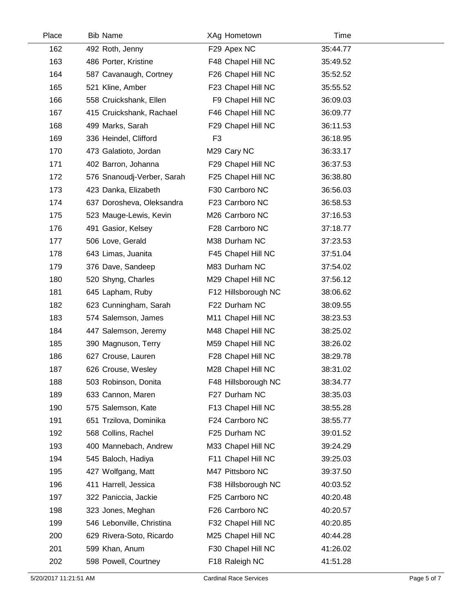| Place | <b>Bib Name</b>            | XAg Hometown        | Time     |  |
|-------|----------------------------|---------------------|----------|--|
| 162   | 492 Roth, Jenny            | F29 Apex NC         | 35:44.77 |  |
| 163   | 486 Porter, Kristine       | F48 Chapel Hill NC  | 35:49.52 |  |
| 164   | 587 Cavanaugh, Cortney     | F26 Chapel Hill NC  | 35:52.52 |  |
| 165   | 521 Kline, Amber           | F23 Chapel Hill NC  | 35:55.52 |  |
| 166   | 558 Cruickshank, Ellen     | F9 Chapel Hill NC   | 36:09.03 |  |
| 167   | 415 Cruickshank, Rachael   | F46 Chapel Hill NC  | 36:09.77 |  |
| 168   | 499 Marks, Sarah           | F29 Chapel Hill NC  | 36:11.53 |  |
| 169   | 336 Heindel, Clifford      | F <sub>3</sub>      | 36:18.95 |  |
| 170   | 473 Galatioto, Jordan      | M29 Cary NC         | 36:33.17 |  |
| 171   | 402 Barron, Johanna        | F29 Chapel Hill NC  | 36:37.53 |  |
| 172   | 576 Snanoudj-Verber, Sarah | F25 Chapel Hill NC  | 36:38.80 |  |
| 173   | 423 Danka, Elizabeth       | F30 Carrboro NC     | 36:56.03 |  |
| 174   | 637 Dorosheva, Oleksandra  | F23 Carrboro NC     | 36:58.53 |  |
| 175   | 523 Mauge-Lewis, Kevin     | M26 Carrboro NC     | 37:16.53 |  |
| 176   | 491 Gasior, Kelsey         | F28 Carrboro NC     | 37:18.77 |  |
| 177   | 506 Love, Gerald           | M38 Durham NC       | 37:23.53 |  |
| 178   | 643 Limas, Juanita         | F45 Chapel Hill NC  | 37:51.04 |  |
| 179   | 376 Dave, Sandeep          | M83 Durham NC       | 37:54.02 |  |
| 180   | 520 Shyng, Charles         | M29 Chapel Hill NC  | 37:56.12 |  |
| 181   | 645 Lapham, Ruby           | F12 Hillsborough NC | 38:06.62 |  |
| 182   | 623 Cunningham, Sarah      | F22 Durham NC       | 38:09.55 |  |
| 183   | 574 Salemson, James        | M11 Chapel Hill NC  | 38:23.53 |  |
| 184   | 447 Salemson, Jeremy       | M48 Chapel Hill NC  | 38:25.02 |  |
| 185   | 390 Magnuson, Terry        | M59 Chapel Hill NC  | 38:26.02 |  |
| 186   | 627 Crouse, Lauren         | F28 Chapel Hill NC  | 38:29.78 |  |
| 187   | 626 Crouse, Wesley         | M28 Chapel Hill NC  | 38:31.02 |  |
| 188   | 503 Robinson, Donita       | F48 Hillsborough NC | 38:34.77 |  |
| 189   | 633 Cannon, Maren          | F27 Durham NC       | 38:35.03 |  |
| 190   | 575 Salemson, Kate         | F13 Chapel Hill NC  | 38:55.28 |  |
| 191   | 651 Trzilova, Dominika     | F24 Carrboro NC     | 38:55.77 |  |
| 192   | 568 Collins, Rachel        | F25 Durham NC       | 39:01.52 |  |
| 193   | 400 Mannebach, Andrew      | M33 Chapel Hill NC  | 39:24.29 |  |
| 194   | 545 Baloch, Hadiya         | F11 Chapel Hill NC  | 39:25.03 |  |
| 195   | 427 Wolfgang, Matt         | M47 Pittsboro NC    | 39:37.50 |  |
| 196   | 411 Harrell, Jessica       | F38 Hillsborough NC | 40:03.52 |  |
| 197   | 322 Paniccia, Jackie       | F25 Carrboro NC     | 40:20.48 |  |
| 198   | 323 Jones, Meghan          | F26 Carrboro NC     | 40:20.57 |  |
| 199   | 546 Lebonville, Christina  | F32 Chapel Hill NC  | 40:20.85 |  |
| 200   | 629 Rivera-Soto, Ricardo   | M25 Chapel Hill NC  | 40:44.28 |  |
| 201   | 599 Khan, Anum             | F30 Chapel Hill NC  | 41:26.02 |  |
| 202   | 598 Powell, Courtney       | F18 Raleigh NC      | 41:51.28 |  |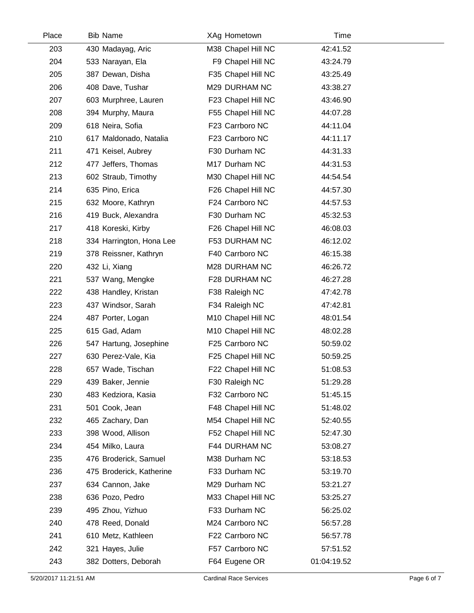| Place | <b>Bib Name</b>          | XAg Hometown                   | Time        |  |
|-------|--------------------------|--------------------------------|-------------|--|
| 203   | 430 Madayag, Aric        | M38 Chapel Hill NC             | 42:41.52    |  |
| 204   | 533 Narayan, Ela         | F9 Chapel Hill NC              | 43:24.79    |  |
| 205   | 387 Dewan, Disha         | F35 Chapel Hill NC             | 43:25.49    |  |
| 206   | 408 Dave, Tushar         | M29 DURHAM NC                  | 43:38.27    |  |
| 207   | 603 Murphree, Lauren     | F23 Chapel Hill NC             | 43:46.90    |  |
| 208   | 394 Murphy, Maura        | F55 Chapel Hill NC             | 44:07.28    |  |
| 209   | 618 Neira, Sofia         | F23 Carrboro NC                | 44:11.04    |  |
| 210   | 617 Maldonado, Natalia   | F23 Carrboro NC                | 44:11.17    |  |
| 211   | 471 Keisel, Aubrey       | F30 Durham NC                  | 44:31.33    |  |
| 212   | 477 Jeffers, Thomas      | M17 Durham NC                  | 44:31.53    |  |
| 213   | 602 Straub, Timothy      | M30 Chapel Hill NC             | 44:54.54    |  |
| 214   | 635 Pino, Erica          | F26 Chapel Hill NC             | 44:57.30    |  |
| 215   | 632 Moore, Kathryn       | F24 Carrboro NC                | 44:57.53    |  |
| 216   | 419 Buck, Alexandra      | F30 Durham NC                  | 45:32.53    |  |
| 217   | 418 Koreski, Kirby       | F26 Chapel Hill NC             | 46:08.03    |  |
| 218   | 334 Harrington, Hona Lee | F53 DURHAM NC                  | 46:12.02    |  |
| 219   | 378 Reissner, Kathryn    | F40 Carrboro NC                | 46:15.38    |  |
| 220   | 432 Li, Xiang            | M28 DURHAM NC                  | 46:26.72    |  |
| 221   | 537 Wang, Mengke         | F28 DURHAM NC                  | 46:27.28    |  |
| 222   | 438 Handley, Kristan     | F38 Raleigh NC                 | 47:42.78    |  |
| 223   | 437 Windsor, Sarah       | F34 Raleigh NC                 | 47:42.81    |  |
| 224   | 487 Porter, Logan        | M <sub>10</sub> Chapel Hill NC | 48:01.54    |  |
| 225   | 615 Gad, Adam            | M10 Chapel Hill NC             | 48:02.28    |  |
| 226   | 547 Hartung, Josephine   | F25 Carrboro NC                | 50:59.02    |  |
| 227   | 630 Perez-Vale, Kia      | F25 Chapel Hill NC             | 50:59.25    |  |
| 228   | 657 Wade, Tischan        | F22 Chapel Hill NC             | 51:08.53    |  |
| 229   | 439 Baker, Jennie        | F30 Raleigh NC                 | 51:29.28    |  |
| 230   | 483 Kedziora, Kasia      | F32 Carrboro NC                | 51:45.15    |  |
| 231   | 501 Cook, Jean           | F48 Chapel Hill NC             | 51:48.02    |  |
| 232   | 465 Zachary, Dan         | M54 Chapel Hill NC             | 52:40.55    |  |
| 233   | 398 Wood, Allison        | F52 Chapel Hill NC             | 52:47.30    |  |
| 234   | 454 Milko, Laura         | F44 DURHAM NC                  | 53:08.27    |  |
| 235   | 476 Broderick, Samuel    | M38 Durham NC                  | 53:18.53    |  |
| 236   | 475 Broderick, Katherine | F33 Durham NC                  | 53:19.70    |  |
| 237   | 634 Cannon, Jake         | M29 Durham NC                  | 53:21.27    |  |
| 238   | 636 Pozo, Pedro          | M33 Chapel Hill NC             | 53:25.27    |  |
| 239   | 495 Zhou, Yizhuo         | F33 Durham NC                  | 56:25.02    |  |
| 240   | 478 Reed, Donald         | M24 Carrboro NC                | 56:57.28    |  |
| 241   | 610 Metz, Kathleen       | F22 Carrboro NC                | 56:57.78    |  |
| 242   | 321 Hayes, Julie         | F57 Carrboro NC                | 57:51.52    |  |
| 243   | 382 Dotters, Deborah     | F64 Eugene OR                  | 01:04:19.52 |  |